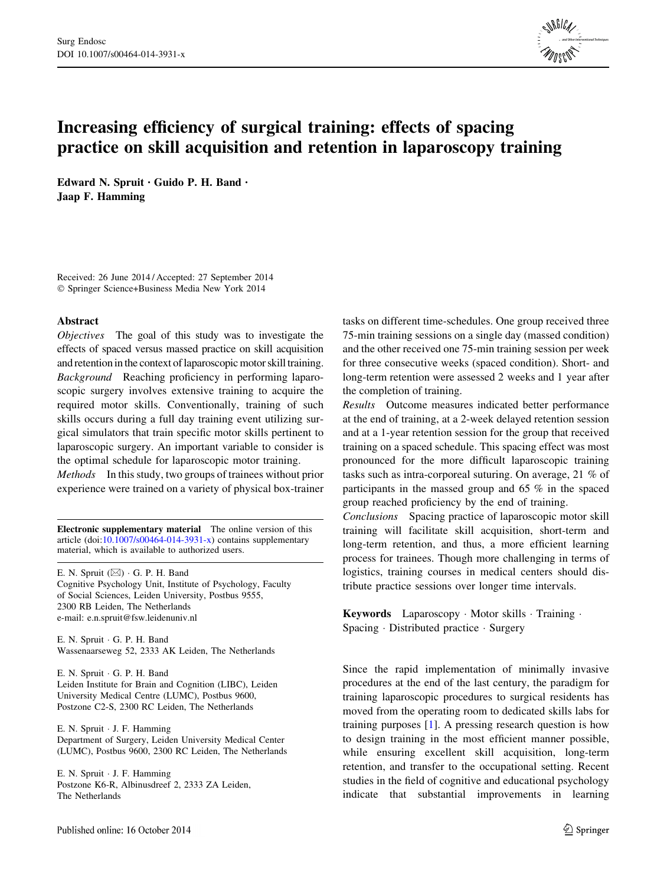

# Increasing efficiency of surgical training: effects of spacing practice on skill acquisition and retention in laparoscopy training

Edward N. Spruit • Guido P. H. Band • Jaap F. Hamming

Received: 26 June 2014 / Accepted: 27 September 2014 - Springer Science+Business Media New York 2014

### Abstract

Objectives The goal of this study was to investigate the effects of spaced versus massed practice on skill acquisition and retention in the context of laparoscopic motor skill training. Background Reaching proficiency in performing laparoscopic surgery involves extensive training to acquire the required motor skills. Conventionally, training of such skills occurs during a full day training event utilizing surgical simulators that train specific motor skills pertinent to laparoscopic surgery. An important variable to consider is the optimal schedule for laparoscopic motor training. Methods In this study, two groups of trainees without prior experience were trained on a variety of physical box-trainer

Electronic supplementary material The online version of this article  $(doi:10.1007/s00464-014-3931-x)$  $(doi:10.1007/s00464-014-3931-x)$  contains supplementary material, which is available to authorized users.

E. N. Spruit  $(\boxtimes) \cdot G$ . P. H. Band Cognitive Psychology Unit, Institute of Psychology, Faculty of Social Sciences, Leiden University, Postbus 9555, 2300 RB Leiden, The Netherlands e-mail: e.n.spruit@fsw.leidenuniv.nl

E. N. Spruit - G. P. H. Band Wassenaarseweg 52, 2333 AK Leiden, The Netherlands

E. N. Spruit - G. P. H. Band Leiden Institute for Brain and Cognition (LIBC), Leiden University Medical Centre (LUMC), Postbus 9600, Postzone C2-S, 2300 RC Leiden, The Netherlands

E. N. Spruit - J. F. Hamming Department of Surgery, Leiden University Medical Center (LUMC), Postbus 9600, 2300 RC Leiden, The Netherlands

E. N. Spruit - J. F. Hamming Postzone K6-R, Albinusdreef 2, 2333 ZA Leiden, The Netherlands

tasks on different time-schedules. One group received three 75-min training sessions on a single day (massed condition) and the other received one 75-min training session per week for three consecutive weeks (spaced condition). Short- and long-term retention were assessed 2 weeks and 1 year after the completion of training.

Results Outcome measures indicated better performance at the end of training, at a 2-week delayed retention session and at a 1-year retention session for the group that received training on a spaced schedule. This spacing effect was most pronounced for the more difficult laparoscopic training tasks such as intra-corporeal suturing. On average, 21 % of participants in the massed group and 65 % in the spaced group reached proficiency by the end of training.

Conclusions Spacing practice of laparoscopic motor skill training will facilitate skill acquisition, short-term and long-term retention, and thus, a more efficient learning process for trainees. Though more challenging in terms of logistics, training courses in medical centers should distribute practice sessions over longer time intervals.

Keywords Laparoscopy · Motor skills · Training · Spacing - Distributed practice - Surgery

Since the rapid implementation of minimally invasive procedures at the end of the last century, the paradigm for training laparoscopic procedures to surgical residents has moved from the operating room to dedicated skills labs for training purposes [[1\]](#page-8-0). A pressing research question is how to design training in the most efficient manner possible, while ensuring excellent skill acquisition, long-term retention, and transfer to the occupational setting. Recent studies in the field of cognitive and educational psychology indicate that substantial improvements in learning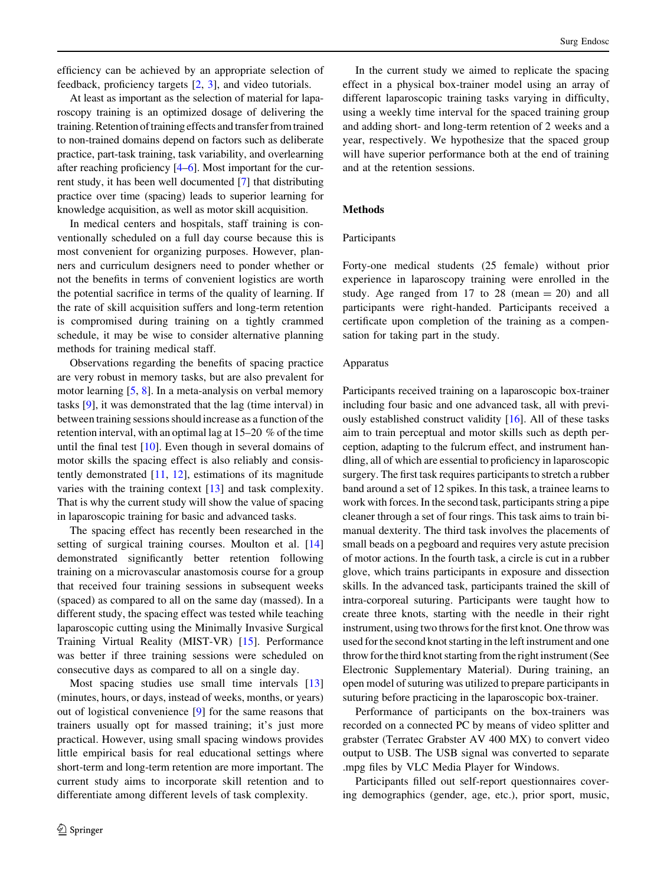efficiency can be achieved by an appropriate selection of feedback, proficiency targets [[2,](#page-8-0) [3\]](#page-8-0), and video tutorials.

At least as important as the selection of material for laparoscopy training is an optimized dosage of delivering the training. Retention of training effects and transfer from trained to non-trained domains depend on factors such as deliberate practice, part-task training, task variability, and overlearning after reaching proficiency [\[4–6\]](#page-8-0). Most important for the current study, it has been well documented [\[7](#page-8-0)] that distributing practice over time (spacing) leads to superior learning for knowledge acquisition, as well as motor skill acquisition.

In medical centers and hospitals, staff training is conventionally scheduled on a full day course because this is most convenient for organizing purposes. However, planners and curriculum designers need to ponder whether or not the benefits in terms of convenient logistics are worth the potential sacrifice in terms of the quality of learning. If the rate of skill acquisition suffers and long-term retention is compromised during training on a tightly crammed schedule, it may be wise to consider alternative planning methods for training medical staff.

Observations regarding the benefits of spacing practice are very robust in memory tasks, but are also prevalent for motor learning [\[5](#page-8-0), [8](#page-8-0)]. In a meta-analysis on verbal memory tasks [[9\]](#page-8-0), it was demonstrated that the lag (time interval) in between training sessions should increase as a function of the retention interval, with an optimal lag at 15–20 % of the time until the final test [[10\]](#page-8-0). Even though in several domains of motor skills the spacing effect is also reliably and consistently demonstrated [\[11](#page-8-0), [12\]](#page-8-0), estimations of its magnitude varies with the training context [[13\]](#page-8-0) and task complexity. That is why the current study will show the value of spacing in laparoscopic training for basic and advanced tasks.

The spacing effect has recently been researched in the setting of surgical training courses. Moulton et al. [[14\]](#page-8-0) demonstrated significantly better retention following training on a microvascular anastomosis course for a group that received four training sessions in subsequent weeks (spaced) as compared to all on the same day (massed). In a different study, the spacing effect was tested while teaching laparoscopic cutting using the Minimally Invasive Surgical Training Virtual Reality (MIST-VR) [[15](#page-8-0)]. Performance was better if three training sessions were scheduled on consecutive days as compared to all on a single day.

Most spacing studies use small time intervals [[13\]](#page-8-0) (minutes, hours, or days, instead of weeks, months, or years) out of logistical convenience [\[9](#page-8-0)] for the same reasons that trainers usually opt for massed training; it's just more practical. However, using small spacing windows provides little empirical basis for real educational settings where short-term and long-term retention are more important. The current study aims to incorporate skill retention and to differentiate among different levels of task complexity.

In the current study we aimed to replicate the spacing effect in a physical box-trainer model using an array of different laparoscopic training tasks varying in difficulty, using a weekly time interval for the spaced training group and adding short- and long-term retention of 2 weeks and a year, respectively. We hypothesize that the spaced group will have superior performance both at the end of training and at the retention sessions.

## **Methods**

#### Participants

Forty-one medical students (25 female) without prior experience in laparoscopy training were enrolled in the study. Age ranged from 17 to 28 (mean  $= 20$ ) and all participants were right-handed. Participants received a certificate upon completion of the training as a compensation for taking part in the study.

#### Apparatus

Participants received training on a laparoscopic box-trainer including four basic and one advanced task, all with previously established construct validity [[16](#page-8-0)]. All of these tasks aim to train perceptual and motor skills such as depth perception, adapting to the fulcrum effect, and instrument handling, all of which are essential to proficiency in laparoscopic surgery. The first task requires participants to stretch a rubber band around a set of 12 spikes. In this task, a trainee learns to work with forces. In the second task, participants string a pipe cleaner through a set of four rings. This task aims to train bimanual dexterity. The third task involves the placements of small beads on a pegboard and requires very astute precision of motor actions. In the fourth task, a circle is cut in a rubber glove, which trains participants in exposure and dissection skills. In the advanced task, participants trained the skill of intra-corporeal suturing. Participants were taught how to create three knots, starting with the needle in their right instrument, using two throws for the first knot. One throw was used for the second knot starting in the left instrument and one throw for the third knot starting from the right instrument (See Electronic Supplementary Material). During training, an open model of suturing was utilized to prepare participants in suturing before practicing in the laparoscopic box-trainer.

Performance of participants on the box-trainers was recorded on a connected PC by means of video splitter and grabster (Terratec Grabster AV 400 MX) to convert video output to USB. The USB signal was converted to separate .mpg files by VLC Media Player for Windows.

Participants filled out self-report questionnaires covering demographics (gender, age, etc.), prior sport, music,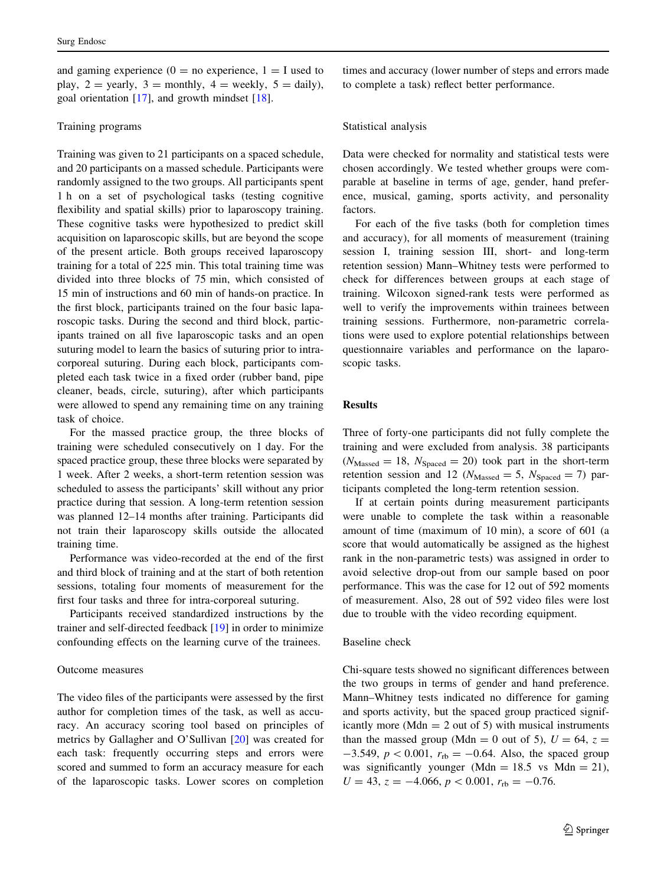and gaming experience  $(0 = no$  experience,  $1 = I$  used to play,  $2 = \text{yearly}$ ,  $3 = \text{monthly}$ ,  $4 = \text{weekly}$ ,  $5 = \text{daily}$ ), goal orientation [[17\]](#page-8-0), and growth mindset [[18\]](#page-8-0).

## Training programs

Training was given to 21 participants on a spaced schedule, and 20 participants on a massed schedule. Participants were randomly assigned to the two groups. All participants spent 1 h on a set of psychological tasks (testing cognitive flexibility and spatial skills) prior to laparoscopy training. These cognitive tasks were hypothesized to predict skill acquisition on laparoscopic skills, but are beyond the scope of the present article. Both groups received laparoscopy training for a total of 225 min. This total training time was divided into three blocks of 75 min, which consisted of 15 min of instructions and 60 min of hands-on practice. In the first block, participants trained on the four basic laparoscopic tasks. During the second and third block, participants trained on all five laparoscopic tasks and an open suturing model to learn the basics of suturing prior to intracorporeal suturing. During each block, participants completed each task twice in a fixed order (rubber band, pipe cleaner, beads, circle, suturing), after which participants were allowed to spend any remaining time on any training task of choice.

For the massed practice group, the three blocks of training were scheduled consecutively on 1 day. For the spaced practice group, these three blocks were separated by 1 week. After 2 weeks, a short-term retention session was scheduled to assess the participants' skill without any prior practice during that session. A long-term retention session was planned 12–14 months after training. Participants did not train their laparoscopy skills outside the allocated training time.

Performance was video-recorded at the end of the first and third block of training and at the start of both retention sessions, totaling four moments of measurement for the first four tasks and three for intra-corporeal suturing.

Participants received standardized instructions by the trainer and self-directed feedback [\[19](#page-8-0)] in order to minimize confounding effects on the learning curve of the trainees.

## Outcome measures

The video files of the participants were assessed by the first author for completion times of the task, as well as accuracy. An accuracy scoring tool based on principles of metrics by Gallagher and O'Sullivan [\[20](#page-8-0)] was created for each task: frequently occurring steps and errors were scored and summed to form an accuracy measure for each of the laparoscopic tasks. Lower scores on completion

times and accuracy (lower number of steps and errors made to complete a task) reflect better performance.

### Statistical analysis

Data were checked for normality and statistical tests were chosen accordingly. We tested whether groups were comparable at baseline in terms of age, gender, hand preference, musical, gaming, sports activity, and personality factors.

For each of the five tasks (both for completion times and accuracy), for all moments of measurement (training session I, training session III, short- and long-term retention session) Mann–Whitney tests were performed to check for differences between groups at each stage of training. Wilcoxon signed-rank tests were performed as well to verify the improvements within trainees between training sessions. Furthermore, non-parametric correlations were used to explore potential relationships between questionnaire variables and performance on the laparoscopic tasks.

## Results

Three of forty-one participants did not fully complete the training and were excluded from analysis. 38 participants  $(N_{\text{Massel}} = 18, N_{\text{Spaced}} = 20)$  took part in the short-term retention session and 12 ( $N_{\text{Massel}} = 5$ ,  $N_{\text{Spaced}} = 7$ ) participants completed the long-term retention session.

If at certain points during measurement participants were unable to complete the task within a reasonable amount of time (maximum of 10 min), a score of 601 (a score that would automatically be assigned as the highest rank in the non-parametric tests) was assigned in order to avoid selective drop-out from our sample based on poor performance. This was the case for 12 out of 592 moments of measurement. Also, 28 out of 592 video files were lost due to trouble with the video recording equipment.

Baseline check

Chi-square tests showed no significant differences between the two groups in terms of gender and hand preference. Mann–Whitney tests indicated no difference for gaming and sports activity, but the spaced group practiced significantly more (Mdn  $= 2$  out of 5) with musical instruments than the massed group (Mdn = 0 out of 5),  $U = 64$ ,  $z =$  $-3.549$ ,  $p < 0.001$ ,  $r_{rb} = -0.64$ . Also, the spaced group was significantly younger (Mdn =  $18.5$  vs Mdn =  $21$ ),  $U = 43$ ,  $z = -4.066$ ,  $p < 0.001$ ,  $r_{\text{rb}} = -0.76$ .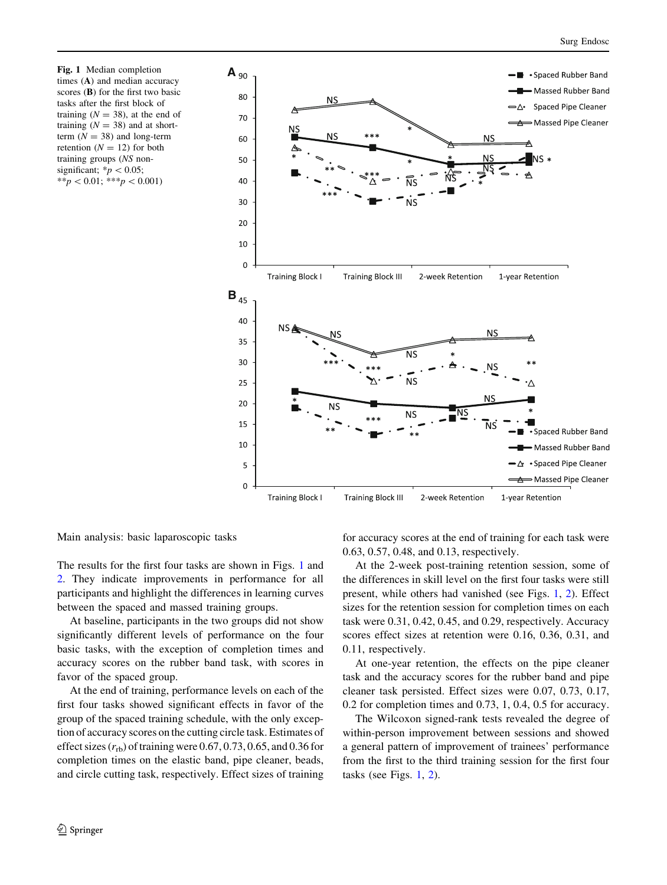<span id="page-3-0"></span>Fig. 1 Median completion times (A) and median accuracy scores (B) for the first two basic tasks after the first block of training  $(N = 38)$ , at the end of training  $(N = 38)$  and at shortterm  $(N = 38)$  and long-term retention  $(N = 12)$  for both training groups (NS nonsignificant;  $**p* < 0.05$ ;  $**p<0.01$ ; \*\*\*p $<0.001$ )



Main analysis: basic laparoscopic tasks

The results for the first four tasks are shown in Figs. 1 and [2](#page-4-0). They indicate improvements in performance for all participants and highlight the differences in learning curves between the spaced and massed training groups.

At baseline, participants in the two groups did not show significantly different levels of performance on the four basic tasks, with the exception of completion times and accuracy scores on the rubber band task, with scores in favor of the spaced group.

At the end of training, performance levels on each of the first four tasks showed significant effects in favor of the group of the spaced training schedule, with the only exception of accuracy scores on the cutting circle task. Estimates of effect sizes  $(r_{rb})$  of training were 0.67, 0.73, 0.65, and 0.36 for completion times on the elastic band, pipe cleaner, beads, and circle cutting task, respectively. Effect sizes of training

for accuracy scores at the end of training for each task were 0.63, 0.57, 0.48, and 0.13, respectively.

At the 2-week post-training retention session, some of the differences in skill level on the first four tasks were still present, while others had vanished (see Figs. 1, [2](#page-4-0)). Effect sizes for the retention session for completion times on each task were 0.31, 0.42, 0.45, and 0.29, respectively. Accuracy scores effect sizes at retention were 0.16, 0.36, 0.31, and 0.11, respectively.

At one-year retention, the effects on the pipe cleaner task and the accuracy scores for the rubber band and pipe cleaner task persisted. Effect sizes were 0.07, 0.73, 0.17, 0.2 for completion times and 0.73, 1, 0.4, 0.5 for accuracy.

The Wilcoxon signed-rank tests revealed the degree of within-person improvement between sessions and showed a general pattern of improvement of trainees' performance from the first to the third training session for the first four tasks (see Figs. 1, [2\)](#page-4-0).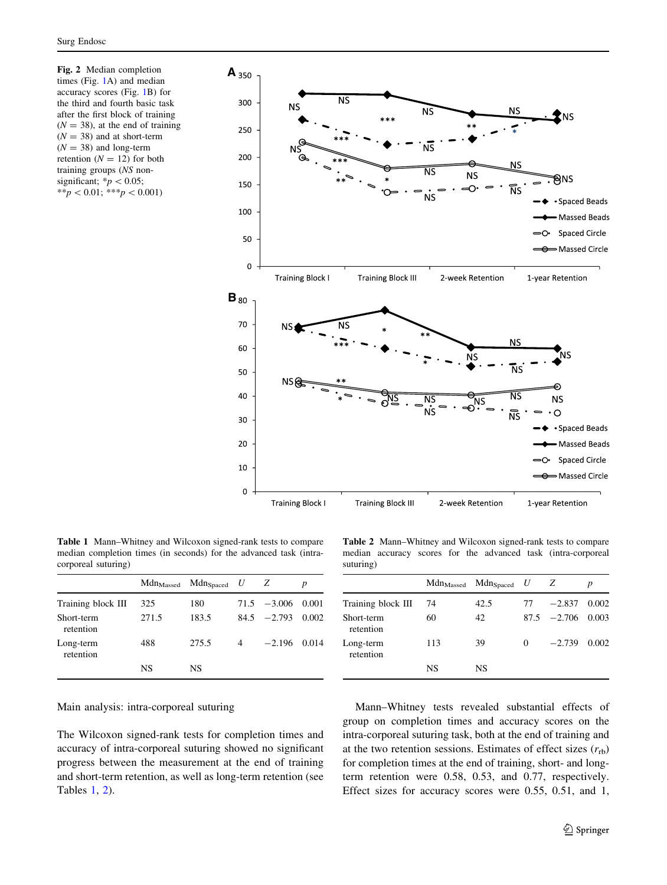<span id="page-4-0"></span>Fig. 2 Median completion times (Fig. [1A](#page-3-0)) and median accuracy scores (Fig. [1](#page-3-0)B) for the third and fourth basic task after the first block of training  $(N = 38)$ , at the end of training  $(N = 38)$  and at short-term  $(N = 38)$  and long-term retention  $(N = 12)$  for both training groups (NS nonsignificant;  $* p < 0.05$ ;  $**p<0.01$ ; \*\*\*p $<0.001$ )



Table 1 Mann–Whitney and Wilcoxon signed-rank tests to compare median completion times (in seconds) for the advanced task (intracorporeal suturing)

|                         | $Mdn$ Massed | $Mdn_{\text{Spaced}}$ | U | Z              |       |
|-------------------------|--------------|-----------------------|---|----------------|-------|
| Training block III      | 325          | 180                   |   | $71.5 - 3.006$ | 0.001 |
| Short-term<br>retention | 271.5        | 183.5                 |   | $84.5 -2.793$  | 0.002 |
| Long-term<br>retention  | 488          | 275.5                 | 4 | $-2.196$       | 0.014 |
|                         | NS           | NS                    |   |                |       |

Table 2 Mann–Whitney and Wilcoxon signed-rank tests to compare median accuracy scores for the advanced task (intra-corporeal suturing)

|                         | $Mdn_{\rm Massed}$ | $Mdn_{\text{Spaced}}$ U |    | Z             |       |
|-------------------------|--------------------|-------------------------|----|---------------|-------|
| Training block III      | 74                 | 42.5                    | 77 | $-2.837$      | 0.002 |
| Short-term<br>retention | 60                 | 42                      |    | $87.5 -2.706$ | 0.003 |
| Long-term<br>retention  | 113                | 39                      | 0  | $-2.739$      | 0.002 |
|                         | NS                 | NS                      |    |               |       |

Main analysis: intra-corporeal suturing

The Wilcoxon signed-rank tests for completion times and accuracy of intra-corporeal suturing showed no significant progress between the measurement at the end of training and short-term retention, as well as long-term retention (see Tables 1, 2).

Mann–Whitney tests revealed substantial effects of group on completion times and accuracy scores on the intra-corporeal suturing task, both at the end of training and at the two retention sessions. Estimates of effect sizes  $(r_{\rm rh})$ for completion times at the end of training, short- and longterm retention were 0.58, 0.53, and 0.77, respectively. Effect sizes for accuracy scores were 0.55, 0.51, and 1,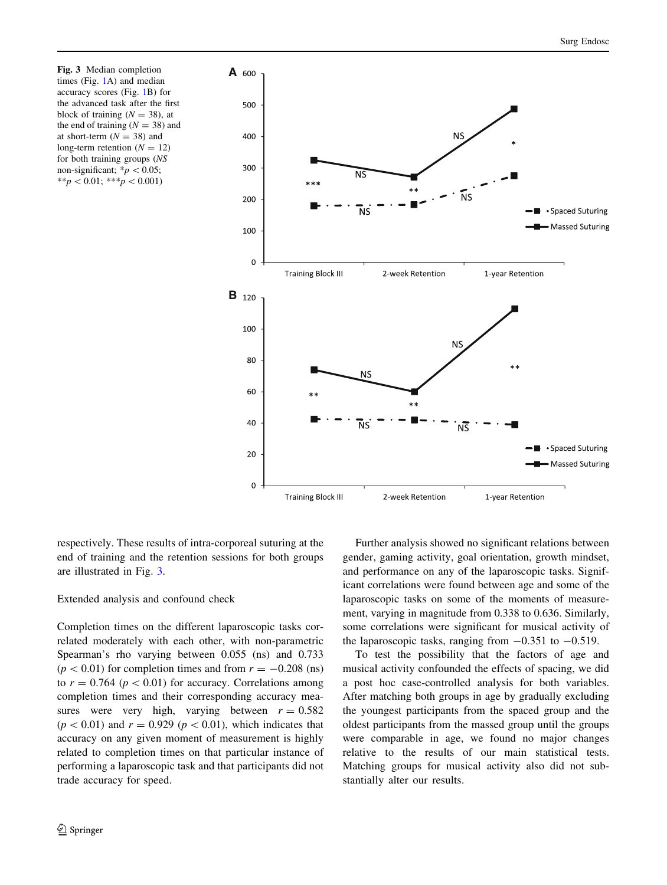<span id="page-5-0"></span>Fig. 3 Median completion times (Fig. [1A](#page-3-0)) and median accuracy scores (Fig. [1](#page-3-0)B) for the advanced task after the first block of training  $(N = 38)$ , at the end of training  $(N = 38)$  and at short-term  $(N = 38)$  and long-term retention  $(N = 12)$ for both training groups (NS non-significant;  $* p < 0.05$ ;  $**p<0.01$ ; \*\*\*p $<0.001$ )



respectively. These results of intra-corporeal suturing at the end of training and the retention sessions for both groups are illustrated in Fig. 3.

#### Extended analysis and confound check

Completion times on the different laparoscopic tasks correlated moderately with each other, with non-parametric Spearman's rho varying between 0.055 (ns) and 0.733  $(p < 0.01)$  for completion times and from  $r = -0.208$  (ns) to  $r = 0.764$  ( $p < 0.01$ ) for accuracy. Correlations among completion times and their corresponding accuracy measures were very high, varying between  $r = 0.582$  $(p < 0.01)$  and  $r = 0.929$  ( $p < 0.01$ ), which indicates that accuracy on any given moment of measurement is highly related to completion times on that particular instance of performing a laparoscopic task and that participants did not trade accuracy for speed.

Further analysis showed no significant relations between gender, gaming activity, goal orientation, growth mindset, and performance on any of the laparoscopic tasks. Significant correlations were found between age and some of the laparoscopic tasks on some of the moments of measurement, varying in magnitude from 0.338 to 0.636. Similarly, some correlations were significant for musical activity of the laparoscopic tasks, ranging from  $-0.351$  to  $-0.519$ .

To test the possibility that the factors of age and musical activity confounded the effects of spacing, we did a post hoc case-controlled analysis for both variables. After matching both groups in age by gradually excluding the youngest participants from the spaced group and the oldest participants from the massed group until the groups were comparable in age, we found no major changes relative to the results of our main statistical tests. Matching groups for musical activity also did not substantially alter our results.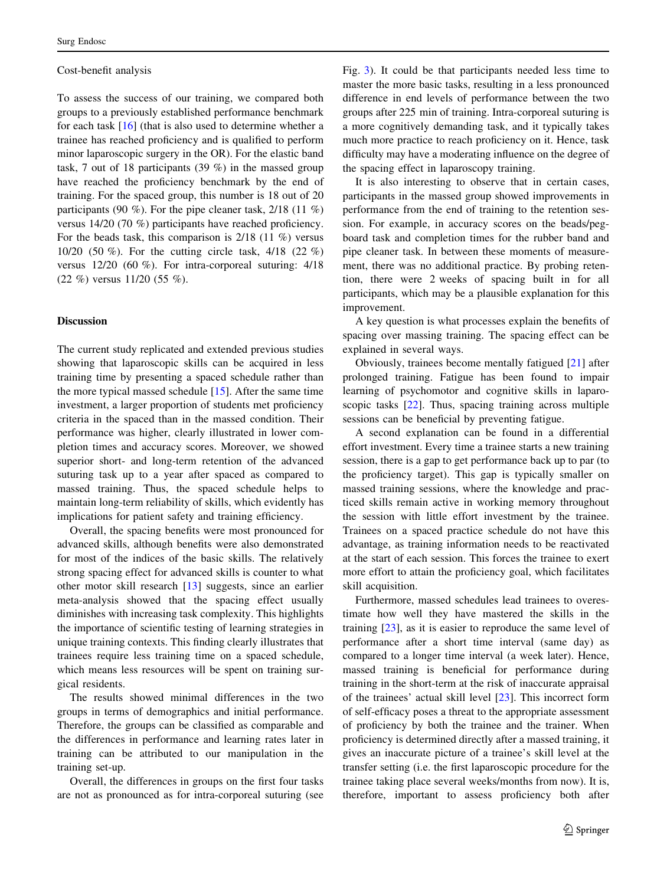#### Cost-benefit analysis

To assess the success of our training, we compared both groups to a previously established performance benchmark for each task [[16\]](#page-8-0) (that is also used to determine whether a trainee has reached proficiency and is qualified to perform minor laparoscopic surgery in the OR). For the elastic band task, 7 out of 18 participants (39 %) in the massed group have reached the proficiency benchmark by the end of training. For the spaced group, this number is 18 out of 20 participants (90 %). For the pipe cleaner task,  $2/18$  (11 %) versus 14/20 (70 %) participants have reached proficiency. For the beads task, this comparison is 2/18 (11 %) versus 10/20 (50 %). For the cutting circle task, 4/18 (22 %) versus 12/20 (60 %). For intra-corporeal suturing: 4/18 (22 %) versus 11/20 (55 %).

#### **Discussion**

The current study replicated and extended previous studies showing that laparoscopic skills can be acquired in less training time by presenting a spaced schedule rather than the more typical massed schedule  $[15]$  $[15]$  $[15]$ . After the same time investment, a larger proportion of students met proficiency criteria in the spaced than in the massed condition. Their performance was higher, clearly illustrated in lower completion times and accuracy scores. Moreover, we showed superior short- and long-term retention of the advanced suturing task up to a year after spaced as compared to massed training. Thus, the spaced schedule helps to maintain long-term reliability of skills, which evidently has implications for patient safety and training efficiency.

Overall, the spacing benefits were most pronounced for advanced skills, although benefits were also demonstrated for most of the indices of the basic skills. The relatively strong spacing effect for advanced skills is counter to what other motor skill research [[13\]](#page-8-0) suggests, since an earlier meta-analysis showed that the spacing effect usually diminishes with increasing task complexity. This highlights the importance of scientific testing of learning strategies in unique training contexts. This finding clearly illustrates that trainees require less training time on a spaced schedule, which means less resources will be spent on training surgical residents.

The results showed minimal differences in the two groups in terms of demographics and initial performance. Therefore, the groups can be classified as comparable and the differences in performance and learning rates later in training can be attributed to our manipulation in the training set-up.

Overall, the differences in groups on the first four tasks are not as pronounced as for intra-corporeal suturing (see Fig. [3](#page-5-0)). It could be that participants needed less time to master the more basic tasks, resulting in a less pronounced difference in end levels of performance between the two groups after 225 min of training. Intra-corporeal suturing is a more cognitively demanding task, and it typically takes much more practice to reach proficiency on it. Hence, task difficulty may have a moderating influence on the degree of the spacing effect in laparoscopy training.

It is also interesting to observe that in certain cases, participants in the massed group showed improvements in performance from the end of training to the retention session. For example, in accuracy scores on the beads/pegboard task and completion times for the rubber band and pipe cleaner task. In between these moments of measurement, there was no additional practice. By probing retention, there were 2 weeks of spacing built in for all participants, which may be a plausible explanation for this improvement.

A key question is what processes explain the benefits of spacing over massing training. The spacing effect can be explained in several ways.

Obviously, trainees become mentally fatigued [[21\]](#page-8-0) after prolonged training. Fatigue has been found to impair learning of psychomotor and cognitive skills in laparoscopic tasks [[22\]](#page-8-0). Thus, spacing training across multiple sessions can be beneficial by preventing fatigue.

A second explanation can be found in a differential effort investment. Every time a trainee starts a new training session, there is a gap to get performance back up to par (to the proficiency target). This gap is typically smaller on massed training sessions, where the knowledge and practiced skills remain active in working memory throughout the session with little effort investment by the trainee. Trainees on a spaced practice schedule do not have this advantage, as training information needs to be reactivated at the start of each session. This forces the trainee to exert more effort to attain the proficiency goal, which facilitates skill acquisition.

Furthermore, massed schedules lead trainees to overestimate how well they have mastered the skills in the training [[23\]](#page-8-0), as it is easier to reproduce the same level of performance after a short time interval (same day) as compared to a longer time interval (a week later). Hence, massed training is beneficial for performance during training in the short-term at the risk of inaccurate appraisal of the trainees' actual skill level [\[23](#page-8-0)]. This incorrect form of self-efficacy poses a threat to the appropriate assessment of proficiency by both the trainee and the trainer. When proficiency is determined directly after a massed training, it gives an inaccurate picture of a trainee's skill level at the transfer setting (i.e. the first laparoscopic procedure for the trainee taking place several weeks/months from now). It is, therefore, important to assess proficiency both after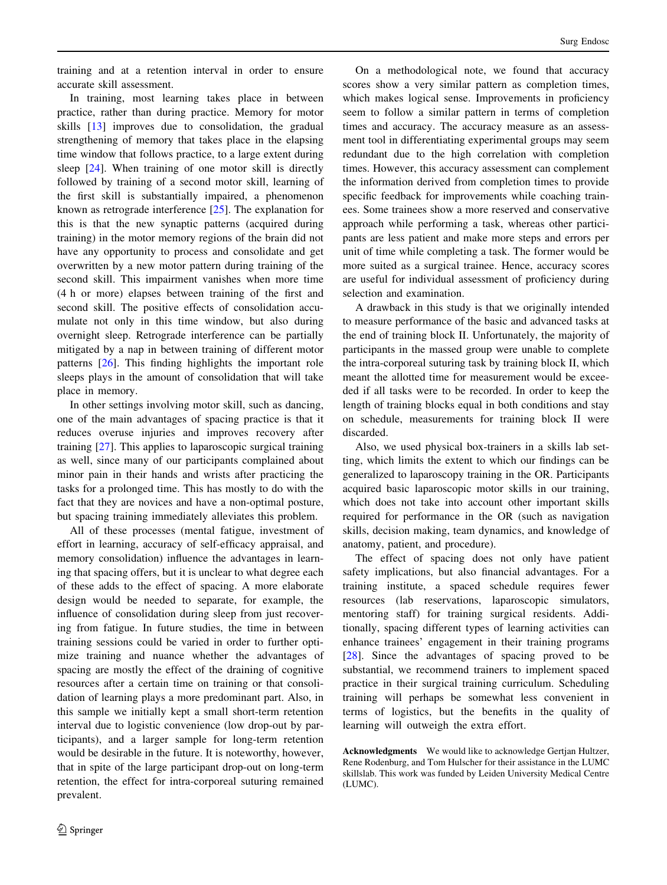training and at a retention interval in order to ensure accurate skill assessment.

In training, most learning takes place in between practice, rather than during practice. Memory for motor skills [\[13](#page-8-0)] improves due to consolidation, the gradual strengthening of memory that takes place in the elapsing time window that follows practice, to a large extent during sleep [[24\]](#page-8-0). When training of one motor skill is directly followed by training of a second motor skill, learning of the first skill is substantially impaired, a phenomenon known as retrograde interference [[25\]](#page-8-0). The explanation for this is that the new synaptic patterns (acquired during training) in the motor memory regions of the brain did not have any opportunity to process and consolidate and get overwritten by a new motor pattern during training of the second skill. This impairment vanishes when more time (4 h or more) elapses between training of the first and second skill. The positive effects of consolidation accumulate not only in this time window, but also during overnight sleep. Retrograde interference can be partially mitigated by a nap in between training of different motor patterns [[26\]](#page-8-0). This finding highlights the important role sleeps plays in the amount of consolidation that will take place in memory.

In other settings involving motor skill, such as dancing, one of the main advantages of spacing practice is that it reduces overuse injuries and improves recovery after training [\[27](#page-8-0)]. This applies to laparoscopic surgical training as well, since many of our participants complained about minor pain in their hands and wrists after practicing the tasks for a prolonged time. This has mostly to do with the fact that they are novices and have a non-optimal posture, but spacing training immediately alleviates this problem.

All of these processes (mental fatigue, investment of effort in learning, accuracy of self-efficacy appraisal, and memory consolidation) influence the advantages in learning that spacing offers, but it is unclear to what degree each of these adds to the effect of spacing. A more elaborate design would be needed to separate, for example, the influence of consolidation during sleep from just recovering from fatigue. In future studies, the time in between training sessions could be varied in order to further optimize training and nuance whether the advantages of spacing are mostly the effect of the draining of cognitive resources after a certain time on training or that consolidation of learning plays a more predominant part. Also, in this sample we initially kept a small short-term retention interval due to logistic convenience (low drop-out by participants), and a larger sample for long-term retention would be desirable in the future. It is noteworthy, however, that in spite of the large participant drop-out on long-term retention, the effect for intra-corporeal suturing remained prevalent.

On a methodological note, we found that accuracy scores show a very similar pattern as completion times, which makes logical sense. Improvements in proficiency seem to follow a similar pattern in terms of completion times and accuracy. The accuracy measure as an assessment tool in differentiating experimental groups may seem redundant due to the high correlation with completion times. However, this accuracy assessment can complement the information derived from completion times to provide specific feedback for improvements while coaching trainees. Some trainees show a more reserved and conservative approach while performing a task, whereas other participants are less patient and make more steps and errors per unit of time while completing a task. The former would be more suited as a surgical trainee. Hence, accuracy scores are useful for individual assessment of proficiency during selection and examination.

A drawback in this study is that we originally intended to measure performance of the basic and advanced tasks at the end of training block II. Unfortunately, the majority of participants in the massed group were unable to complete the intra-corporeal suturing task by training block II, which meant the allotted time for measurement would be exceeded if all tasks were to be recorded. In order to keep the length of training blocks equal in both conditions and stay on schedule, measurements for training block II were discarded.

Also, we used physical box-trainers in a skills lab setting, which limits the extent to which our findings can be generalized to laparoscopy training in the OR. Participants acquired basic laparoscopic motor skills in our training, which does not take into account other important skills required for performance in the OR (such as navigation skills, decision making, team dynamics, and knowledge of anatomy, patient, and procedure).

The effect of spacing does not only have patient safety implications, but also financial advantages. For a training institute, a spaced schedule requires fewer resources (lab reservations, laparoscopic simulators, mentoring staff) for training surgical residents. Additionally, spacing different types of learning activities can enhance trainees' engagement in their training programs [\[28](#page-8-0)]. Since the advantages of spacing proved to be substantial, we recommend trainers to implement spaced practice in their surgical training curriculum. Scheduling training will perhaps be somewhat less convenient in terms of logistics, but the benefits in the quality of learning will outweigh the extra effort.

Acknowledgments We would like to acknowledge Gertjan Hultzer, Rene Rodenburg, and Tom Hulscher for their assistance in the LUMC skillslab. This work was funded by Leiden University Medical Centre (LUMC).